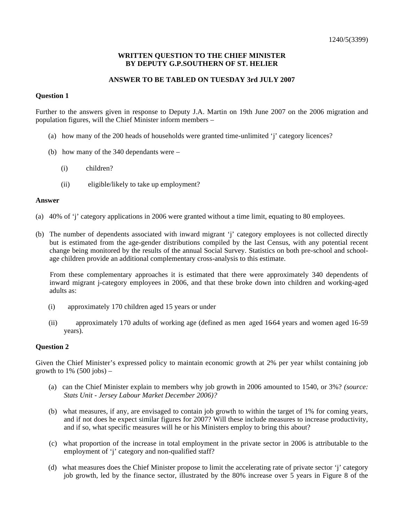## **WRITTEN QUESTION TO THE CHIEF MINISTER BY DEPUTY G.P.SOUTHERN OF ST. HELIER**

# **ANSWER TO BE TABLED ON TUESDAY 3rd JULY 2007**

## **Question 1**

Further to the answers given in response to Deputy J.A. Martin on 19th June 2007 on the 2006 migration and population figures, will the Chief Minister inform members –

- (a) how many of the 200 heads of households were granted time-unlimited 'j' category licences?
- (b) how many of the 340 dependants were
	- (i) children?
	- (ii) eligible/likely to take up employment?

#### **Answer**

- (a) 40% of 'j' category applications in 2006 were granted without a time limit, equating to 80 employees.
- (b) The number of dependents associated with inward migrant 'j' category employees is not collected directly but is estimated from the age-gender distributions compiled by the last Census, with any potential recent change being monitored by the results of the annual Social Survey. Statistics on both pre-school and schoolage children provide an additional complementary cross-analysis to this estimate.

 From these complementary approaches it is estimated that there were approximately 340 dependents of inward migrant j-category employees in 2006, and that these broke down into children and working-aged adults as:

- (i) approximately 170 children aged 15 years or under
- (ii) approximately 170 adults of working age (defined as men aged 16-64 years and women aged 16-59 years).

## **Question 2**

Given the Chief Minister's expressed policy to maintain economic growth at 2% per year whilst containing job growth to  $1\%$  (500 jobs) –

- (a) can the Chief Minister explain to members why job growth in 2006 amounted to 1540, or 3%? *(source: Stats Unit - Jersey Labour Market December 2006)?*
- (b) what measures, if any, are envisaged to contain job growth to within the target of 1% for coming years, and if not does he expect similar figures for 2007? Will these include measures to increase productivity, and if so, what specific measures will he or his Ministers employ to bring this about?
- (c) what proportion of the increase in total employment in the private sector in 2006 is attributable to the employment of 'j' category and non-qualified staff?
- (d) what measures does the Chief Minister propose to limit the accelerating rate of private sector 'j' category job growth, led by the finance sector, illustrated by the 80% increase over 5 years in Figure 8 of the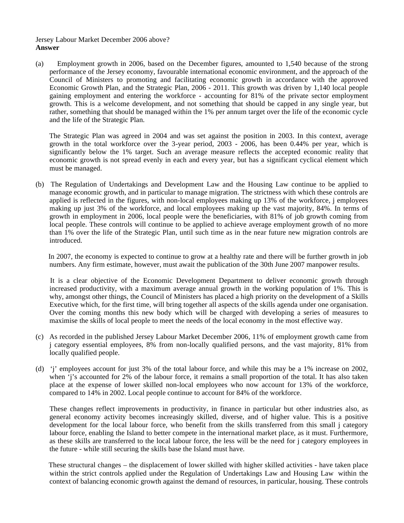# Jersey Labour Market December 2006 above? **Answer**

(a) Employment growth in 2006, based on the December figures, amounted to 1,540 because of the strong performance of the Jersey economy, favourable international economic environment, and the approach of the Council of Ministers to promoting and facilitating economic growth in accordance with the approved Economic Growth Plan, and the Strategic Plan, 2006 - 2011. This growth was driven by 1,140 local people gaining employment and entering the workforce - accounting for 81% of the private sector employment growth. This is a welcome development, and not something that should be capped in any single year, but rather, something that should be managed within the 1% per annum target over the life of the economic cycle and the life of the Strategic Plan.

 The Strategic Plan was agreed in 2004 and was set against the position in 2003. In this context, average growth in the total workforce over the 3-year period, 2003 - 2006, has been 0.44% per year, which is significantly below the 1% target. Such an average measure reflects the accepted economic reality that economic growth is not spread evenly in each and every year, but has a significant cyclical element which must be managed.

(b) The Regulation of Undertakings and Development Law and the Housing Law continue to be applied to manage economic growth, and in particular to manage migration. The strictness with which these controls are applied is reflected in the figures, with non-local employees making up 13% of the workforce, j employees making up just 3% of the workforce, and local employees making up the vast majority, 84%. In terms of growth in employment in 2006, local people were the beneficiaries, with 81% of job growth coming from local people. These controls will continue to be applied to achieve average employment growth of no more than 1% over the life of the Strategic Plan, until such time as in the near future new migration controls are introduced.

 In 2007, the economy is expected to continue to grow at a healthy rate and there will be further growth in job numbers. Any firm estimate, however, must await the publication of the 30th June 2007 manpower results.

 It is a clear objective of the Economic Development Department to deliver economic growth through increased productivity, with a maximum average annual growth in the working population of 1%. This is why, amongst other things, the Council of Ministers has placed a high priority on the development of a Skills Executive which, for the first time, will bring together all aspects of the skills agenda under one organisation. Over the coming months this new body which will be charged with developing a series of measures to maximise the skills of local people to meet the needs of the local economy in the most effective way.

- (c) As recorded in the published Jersey Labour Market December 2006, 11% of employment growth came from j category essential employees, 8% from non-locally qualified persons, and the vast majority, 81% from locally qualified people.
- (d) 'j' employees account for just 3% of the total labour force, and while this may be a 1% increase on 2002, when 'j's accounted for 2% of the labour force, it remains a small proportion of the total. It has also taken place at the expense of lower skilled non-local employees who now account for 13% of the workforce, compared to 14% in 2002. Local people continue to account for 84% of the workforce.

 These changes reflect improvements in productivity, in finance in particular but other industries also, as general economy activity becomes increasingly skilled, diverse, and of higher value. This is a positive development for the local labour force, who benefit from the skills transferred from this small j category labour force, enabling the Island to better compete in the international market place, as it must. Furthermore, as these skills are transferred to the local labour force, the less will be the need for j category employees in the future - while still securing the skills base the Island must have.

 These structural changes – the displacement of lower skilled with higher skilled activities - have taken place within the strict controls applied under the Regulation of Undertakings Law and Housing Law within the context of balancing economic growth against the demand of resources, in particular, housing. These controls